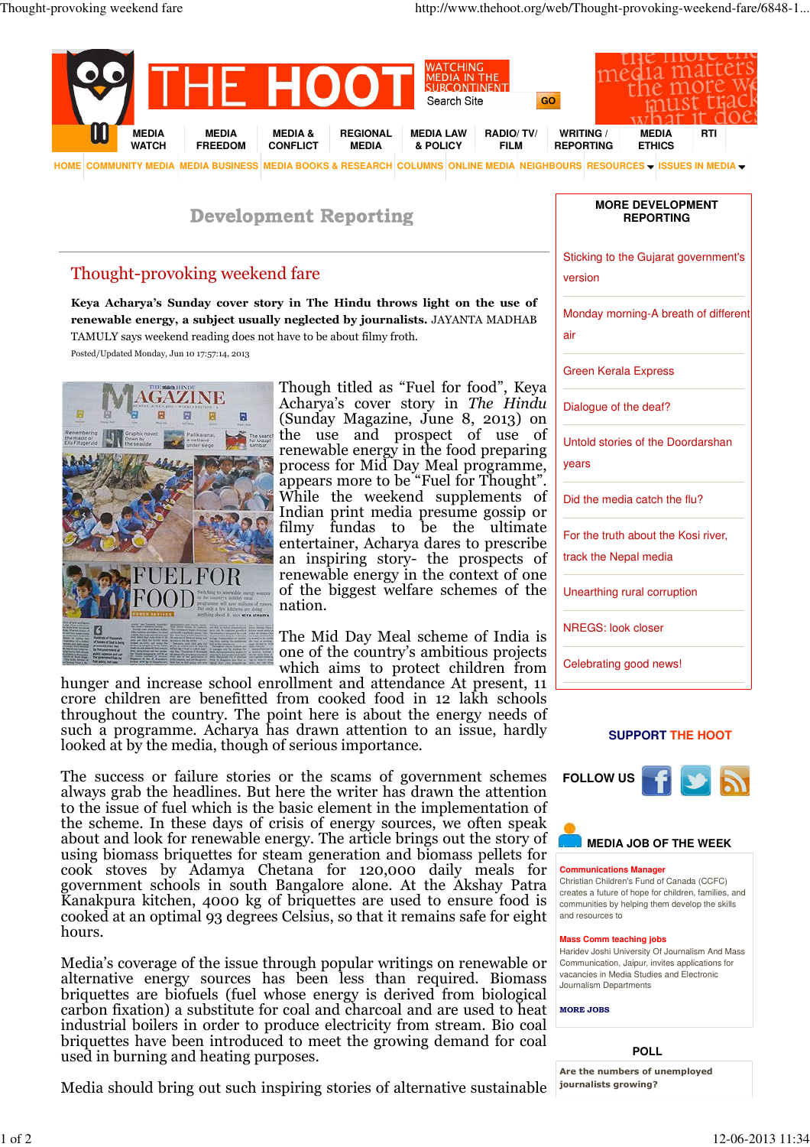